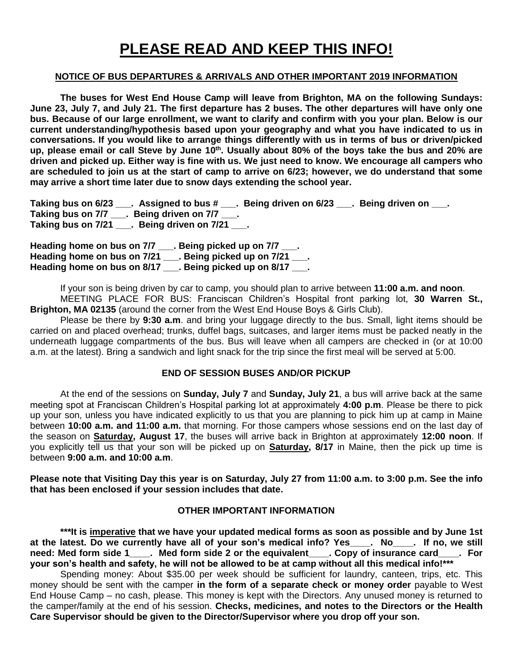# **PLEASE READ AND KEEP THIS INFO!**

#### **NOTICE OF BUS DEPARTURES & ARRIVALS AND OTHER IMPORTANT 2019 INFORMATION**

**The buses for West End House Camp will leave from Brighton, MA on the following Sundays: June 23, July 7, and July 21. The first departure has 2 buses. The other departures will have only one bus. Because of our large enrollment, we want to clarify and confirm with you your plan. Below is our current understanding/hypothesis based upon your geography and what you have indicated to us in conversations. If you would like to arrange things differently with us in terms of bus or driven/picked**  up, please email or call Steve by June 10<sup>th</sup>. Usually about 80% of the boys take the bus and 20% are **driven and picked up. Either way is fine with us. We just need to know. We encourage all campers who are scheduled to join us at the start of camp to arrive on 6/23; however, we do understand that some may arrive a short time later due to snow days extending the school year.**

**Taking bus on 6/23 \_\_\_. Assigned to bus # \_\_\_. Being driven on 6/23 \_\_\_. Being driven on \_\_\_. Taking bus on 7/7 \_\_\_. Being driven on 7/7 \_\_\_. Taking bus on 7/21 \_\_\_. Being driven on 7/21 \_\_\_.**

**Heading home on bus on 7/7 \_\_\_. Being picked up on 7/7 \_\_\_. Heading home on bus on 7/21 \_\_\_. Being picked up on 7/21 \_\_\_. Heading home on bus on 8/17 \_\_\_. Being picked up on 8/17 \_\_\_.**

If your son is being driven by car to camp, you should plan to arrive between **11:00 a.m. and noon**. MEETING PLACE FOR BUS: Franciscan Children's Hospital front parking lot, **30 Warren St., Brighton, MA 02135** (around the corner from the West End House Boys & Girls Club).

Please be there by **9:30 a.m**. and bring your luggage directly to the bus. Small, light items should be carried on and placed overhead; trunks, duffel bags, suitcases, and larger items must be packed neatly in the underneath luggage compartments of the bus. Bus will leave when all campers are checked in (or at 10:00 a.m. at the latest). Bring a sandwich and light snack for the trip since the first meal will be served at 5:00.

#### **END OF SESSION BUSES AND/OR PICKUP**

At the end of the sessions on **Sunday, July 7** and **Sunday, July 21**, a bus will arrive back at the same meeting spot at Franciscan Children's Hospital parking lot at approximately **4:00 p.m**. Please be there to pick up your son, unless you have indicated explicitly to us that you are planning to pick him up at camp in Maine between **10:00 a.m. and 11:00 a.m.** that morning. For those campers whose sessions end on the last day of the season on **Saturday, August 17**, the buses will arrive back in Brighton at approximately **12:00 noon**. If you explicitly tell us that your son will be picked up on **Saturday, 8/17** in Maine, then the pick up time is between **9:00 a.m. and 10:00 a.m**.

**Please note that Visiting Day this year is on Saturday, July 27 from 11:00 a.m. to 3:00 p.m. See the info that has been enclosed if your session includes that date.**

### **OTHER IMPORTANT INFORMATION**

**\*\*\*It is imperative that we have your updated medical forms as soon as possible and by June 1st at the latest. Do we currently have all of your son's medical info? Yes\_\_\_\_. No\_\_\_\_. If no, we still need: Med form side 1\_\_\_\_. Med form side 2 or the equivalent\_\_\_\_. Copy of insurance card\_\_\_\_. For your son's health and safety, he will not be allowed to be at camp without all this medical info!\*\*\***

Spending money: About \$35.00 per week should be sufficient for laundry, canteen, trips, etc. This money should be sent with the camper **in the form of a separate check or money order** payable to West End House Camp – no cash, please. This money is kept with the Directors. Any unused money is returned to the camper/family at the end of his session. **Checks, medicines, and notes to the Directors or the Health Care Supervisor should be given to the Director/Supervisor where you drop off your son.**